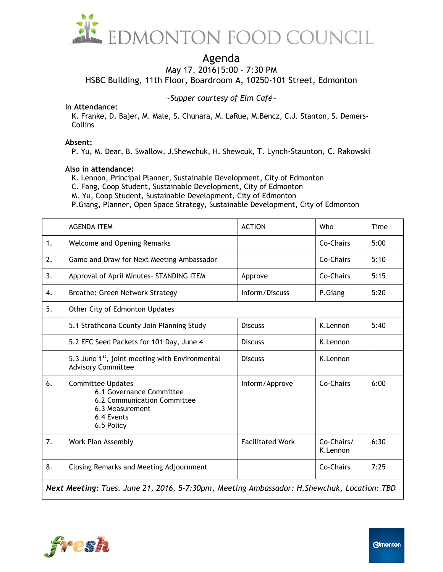

# Agenda

May 17, 2016|5:00 – 7:30 PM

HSBC Building, 11th Floor, Boardroom A, 10250-101 Street, Edmonton

*~Supper courtesy of Elm Café~*

#### **In Attendance:**

K. Franke, D. Bajer, M. Male, S. Chunara, M. LaRue, M.Bencz, C.J. Stanton, S. Demers-**Collins** 

### **Absent:**

P. Yu, M. Dear, B. Swallow, J.Shewchuk, H. Shewcuk, T. Lynch-Staunton, C. Rakowski

#### **Also in attendance:**

K. Lennon, Principal Planner, Sustainable Development, City of Edmonton

C. Fang, Coop Student, Sustainable Development, City of Edmonton

M. Yu, Coop Student, Sustainable Development, City of Edmonton

P.Giang, Planner, Open Space Strategy, Sustainable Development, City of Edmonton

|                                                                                            | <b>AGENDA ITEM</b>                                                                                                                 | <b>ACTION</b>           | Who                    | Time |
|--------------------------------------------------------------------------------------------|------------------------------------------------------------------------------------------------------------------------------------|-------------------------|------------------------|------|
| 1.                                                                                         | <b>Welcome and Opening Remarks</b>                                                                                                 |                         | Co-Chairs              | 5:00 |
| 2.                                                                                         | Game and Draw for Next Meeting Ambassador                                                                                          |                         | Co-Chairs              | 5:10 |
| 3.                                                                                         | Approval of April Minutes- STANDING ITEM                                                                                           | Approve                 | Co-Chairs              | 5:15 |
| 4.                                                                                         | Breathe: Green Network Strategy                                                                                                    | Inform/Discuss          | P.Giang                | 5:20 |
| 5.                                                                                         | Other City of Edmonton Updates                                                                                                     |                         |                        |      |
|                                                                                            | 5.1 Strathcona County Join Planning Study                                                                                          | <b>Discuss</b>          | K.Lennon               | 5:40 |
|                                                                                            | 5.2 EFC Seed Packets for 101 Day, June 4                                                                                           | <b>Discuss</b>          | K.Lennon               |      |
|                                                                                            | 5.3 June 1 <sup>st</sup> , joint meeting with Environmental<br><b>Advisory Committee</b>                                           | <b>Discuss</b>          | K.Lennon               |      |
| 6.                                                                                         | <b>Committee Updates</b><br>6.1 Governance Committee<br>6.2 Communication Committee<br>6.3 Measurement<br>6.4 Events<br>6.5 Policy | Inform/Approve          | Co-Chairs              | 6:00 |
| 7.                                                                                         | Work Plan Assembly                                                                                                                 | <b>Facilitated Work</b> | Co-Chairs/<br>K.Lennon | 6:30 |
| 8.                                                                                         | <b>Closing Remarks and Meeting Adjournment</b>                                                                                     |                         | Co-Chairs              | 7:25 |
| Next Meeting: Tues. June 21, 2016, 5-7:30pm, Meeting Ambassador: H.Shewchuk, Location: TBD |                                                                                                                                    |                         |                        |      |

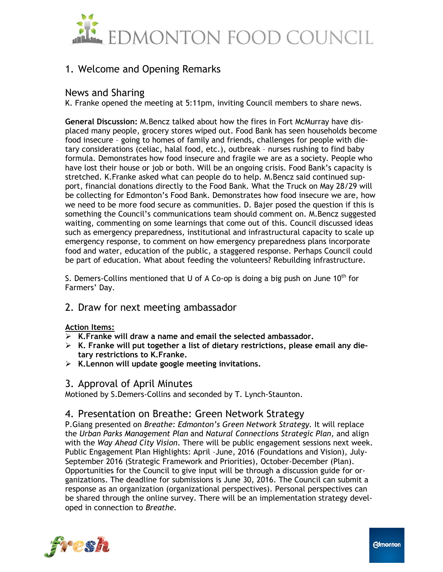

# 1. Welcome and Opening Remarks

# News and Sharing

K. Franke opened the meeting at 5:11pm, inviting Council members to share news.

**General Discussion:** M.Bencz talked about how the fires in Fort McMurray have displaced many people, grocery stores wiped out. Food Bank has seen households become food insecure – going to homes of family and friends, challenges for people with dietary considerations (celiac, halal food, etc.), outbreak – nurses rushing to find baby formula. Demonstrates how food insecure and fragile we are as a society. People who have lost their house or job or both. Will be an ongoing crisis. Food Bank's capacity is stretched. K.Franke asked what can people do to help. M.Bencz said continued support, financial donations directly to the Food Bank. What the Truck on May 28/29 will be collecting for Edmonton's Food Bank. Demonstrates how food insecure we are, how we need to be more food secure as communities. D. Bajer posed the question if this is something the Council's communications team should comment on. M.Bencz suggested waiting, commenting on some learnings that come out of this. Council discussed ideas such as emergency preparedness, institutional and infrastructural capacity to scale up emergency response, to comment on how emergency preparedness plans incorporate food and water, education of the public, a staggered response. Perhaps Council could be part of education. What about feeding the volunteers? Rebuilding infrastructure.

S. Demers-Collins mentioned that U of A Co-op is doing a big push on June  $10^{th}$  for Farmers' Day.

## 2. Draw for next meeting ambassador

### **Action Items:**

- **K.Franke will draw a name and email the selected ambassador.**
- **K. Franke will put together a list of dietary restrictions, please email any dietary restrictions to K.Franke.**
- **K.Lennon will update google meeting invitations.**

## 3. Approval of April Minutes

Motioned by S.Demers-Collins and seconded by T. Lynch-Staunton.

## 4. Presentation on Breathe: Green Network Strategy

P.Giang presented on *Breathe: Edmonton's Green Network Strategy.* It will replace the *Urban Parks Management Plan* and *Natural Connections Strategic Plan*, and align with the *Way Ahead City Vision*. There will be public engagement sessions next week. Public Engagement Plan Highlights: April –June, 2016 (Foundations and Vision), July-September 2016 (Strategic Framework and Priorities), October-December (Plan). Opportunities for the Council to give input will be through a discussion guide for organizations. The deadline for submissions is June 30, 2016. The Council can submit a response as an organization (organizational perspectives). Personal perspectives can be shared through the online survey. There will be an implementation strategy developed in connection to *Breathe.*

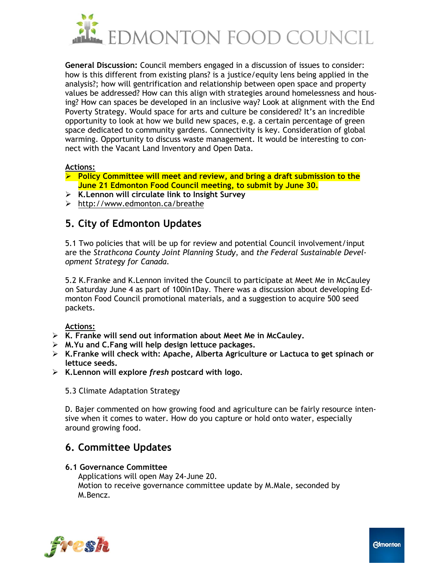

**General Discussion:** Council members engaged in a discussion of issues to consider: how is this different from existing plans? is a justice/equity lens being applied in the analysis?; how will gentrification and relationship between open space and property values be addressed? How can this align with strategies around homelessness and housing? How can spaces be developed in an inclusive way? Look at alignment with the End Poverty Strategy. Would space for arts and culture be considered? It's an incredible opportunity to look at how we build new spaces, e.g. a certain percentage of green space dedicated to community gardens. Connectivity is key. Consideration of global warming. Opportunity to discuss waste management. It would be interesting to connect with the Vacant Land Inventory and Open Data.

### **Actions:**

- **Policy Committee will meet and review, and bring a draft submission to the June 21 Edmonton Food Council meeting, to submit by June 30.**
- **K.Lennon will circulate link to Insight Survey**
- <http://www.edmonton.ca/breathe>

# **5. City of Edmonton Updates**

5.1 Two policies that will be up for review and potential Council involvement/input are the *Strathcona County Joint Planning Study*, and *the Federal Sustainable Development Strategy for Canada.*

5.2 K.Franke and K.Lennon invited the Council to participate at Meet Me in McCauley on Saturday June 4 as part of 100in1Day. There was a discussion about developing Edmonton Food Council promotional materials, and a suggestion to acquire 500 seed packets.

### **Actions:**

- **K. Franke will send out information about Meet Me in McCauley.**
- **M.Yu and C.Fang will help design lettuce packages.**
- **K.Franke will check with: Apache, Alberta Agriculture or Lactuca to get spinach or lettuce seeds.**
- **K.Lennon will explore** *fresh* **postcard with logo.**
	- 5.3 Climate Adaptation Strategy

D. Bajer commented on how growing food and agriculture can be fairly resource intensive when it comes to water. How do you capture or hold onto water, especially around growing food.

# **6. Committee Updates**

### **6.1 Governance Committee**

Applications will open May 24-June 20. Motion to receive governance committee update by M.Male, seconded by M.Bencz.